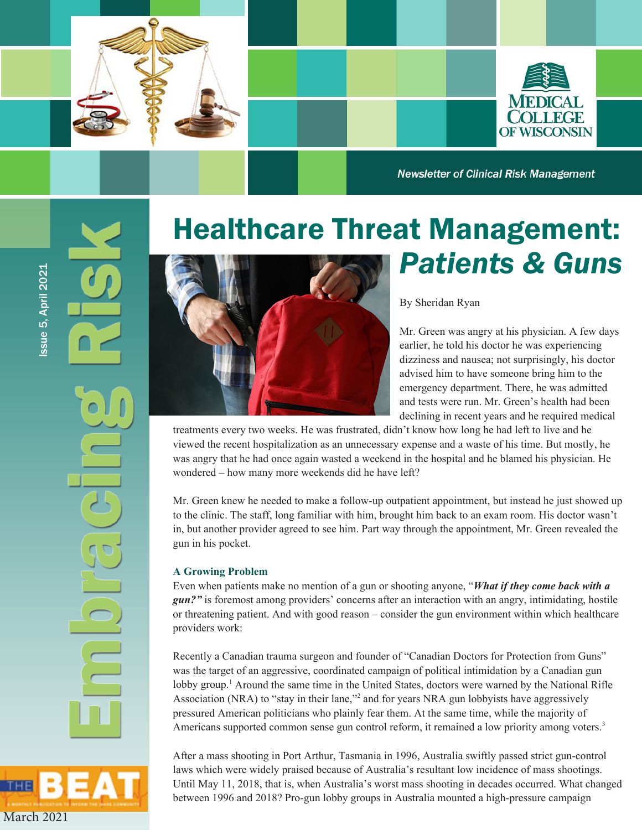



**Newsletter of Clinical Risk Management** 

# Healthcare Threat Management: *Patients & Guns*



Mr. Green was angry at his physician. A few days earlier, he told his doctor he was experiencing dizziness and nausea; not surprisingly, his doctor advised him to have someone bring him to the emergency department. There, he was admitted and tests were run. Mr. Green's health had been declining in recent years and he required medical

treatments every two weeks. He was frustrated, didn't know how long he had left to live and he viewed the recent hospitalization as an unnecessary expense and a waste of his time. But mostly, he was angry that he had once again wasted a weekend in the hospital and he blamed his physician. He wondered – how many more weekends did he have left?

Mr. Green knew he needed to make a follow-up outpatient appointment, but instead he just showed up to the clinic. The staff, long familiar with him, brought him back to an exam room. His doctor wasn't in, but another provider agreed to see him. Part way through the appointment, Mr. Green revealed the gun in his pocket.

#### **A Growing Problem**

Even when patients make no mention of a gun or shooting anyone, "*What if they come back with a gun?"* is foremost among providers' concerns after an interaction with an angry, intimidating, hostile or threatening patient. And with good reason – consider the gun environment within which healthcare providers work:

Recently a Canadian trauma surgeon and founder of "Canadian Doctors for Protection from Guns" was the target of an aggressive, coordinated campaign of political intimidation by a Canadian gun lobby group.<sup>1</sup> Around the same time in the United States, doctors were warned by the National Rifle Association (NRA) to "stay in their lane,"<sup>2</sup> and for years NRA gun lobbyists have aggressively pressured American politicians who plainly fear them. At the same time, while the majority of Americans supported common sense gun control reform, it remained a low priority among voters.<sup>3</sup>

After a mass shooting in Port Arthur, Tasmania in 1996, Australia swiftly passed strict gun-control laws which were widely praised because of Australia's resultant low incidence of mass shootings. Until May 11, 2018, that is, when Australia's worst mass shooting in decades occurred. What changed between 1996 and 2018? Pro-gun lobby groups in Australia mounted a high-pressure campaign

March 2021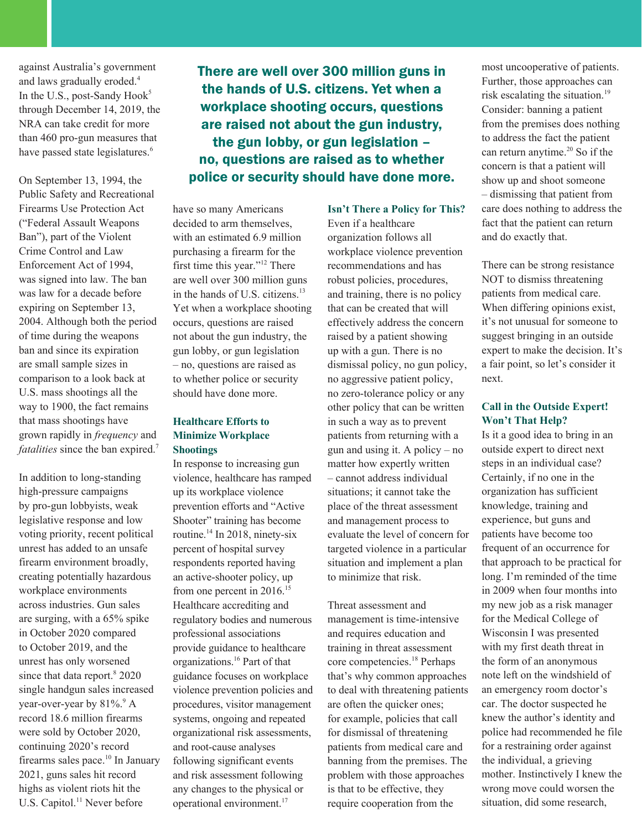against Australia's government and laws gradually eroded.<sup>4</sup> In the U.S., post-Sandy Hook<sup>5</sup> through December 14, 2019, the NRA can take credit for more than 460 pro-gun measures that have passed state legislatures.<sup>6</sup>

On September 13, 1994, the Public Safety and Recreational Firearms Use Protection Act ("Federal Assault Weapons Ban"), part of the Violent Crime Control and Law Enforcement Act of 1994, was signed into law. The ban was law for a decade before expiring on September 13, 2004. Although both the period of time during the weapons ban and since its expiration are small sample sizes in comparison to a look back at U.S. mass shootings all the way to 1900, the fact remains that mass shootings have grown rapidly in *frequency* and *fatalities* since the ban expired.<sup>7</sup>

In addition to long-standing high-pressure campaigns by pro-gun lobbyists, weak legislative response and low voting priority, recent political unrest has added to an unsafe firearm environment broadly, creating potentially hazardous workplace environments across industries. Gun sales are surging, with a 65% spike in October 2020 compared to October 2019, and the unrest has only worsened since that data report.<sup>8</sup> 2020 single handgun sales increased year-over-year by 81%.<sup>9</sup> A record 18.6 million firearms were sold by October 2020, continuing 2020's record firearms sales pace.<sup>10</sup> In January 2021, guns sales hit record highs as violent riots hit the U.S. Capitol.<sup>11</sup> Never before

There are well over 300 million guns in the hands of U.S. citizens. Yet when a workplace shooting occurs, questions are raised not about the gun industry, the gun lobby, or gun legislation – no, questions are raised as to whether police or security should have done more.

have so many Americans decided to arm themselves, with an estimated 6.9 million purchasing a firearm for the first time this year."12 There are well over 300 million guns in the hands of U.S. citizens.<sup>13</sup> Yet when a workplace shooting occurs, questions are raised not about the gun industry, the gun lobby, or gun legislation – no, questions are raised as to whether police or security should have done more.

#### **Healthcare Efforts to Minimize Workplace Shootings**

In response to increasing gun violence, healthcare has ramped up its workplace violence prevention efforts and "Active Shooter" training has become routine.<sup>14</sup> In 2018, ninety-six percent of hospital survey respondents reported having an active-shooter policy, up from one percent in 2016.<sup>15</sup> Healthcare accrediting and regulatory bodies and numerous professional associations provide guidance to healthcare organizations.16 Part of that guidance focuses on workplace violence prevention policies and procedures, visitor management systems, ongoing and repeated organizational risk assessments, and root-cause analyses following significant events and risk assessment following any changes to the physical or operational environment.<sup>17</sup>

#### **Isn't There a Policy for This?**

Even if a healthcare organization follows all workplace violence prevention recommendations and has robust policies, procedures, and training, there is no policy that can be created that will effectively address the concern raised by a patient showing up with a gun. There is no dismissal policy, no gun policy, no aggressive patient policy, no zero-tolerance policy or any other policy that can be written in such a way as to prevent patients from returning with a gun and using it. A policy – no matter how expertly written – cannot address individual situations; it cannot take the place of the threat assessment and management process to evaluate the level of concern for targeted violence in a particular situation and implement a plan to minimize that risk.

Threat assessment and management is time-intensive and requires education and training in threat assessment core competencies.18 Perhaps that's why common approaches to deal with threatening patients are often the quicker ones; for example, policies that call for dismissal of threatening patients from medical care and banning from the premises. The problem with those approaches is that to be effective, they require cooperation from the

most uncooperative of patients. Further, those approaches can risk escalating the situation.<sup>19</sup> Consider: banning a patient from the premises does nothing to address the fact the patient can return anytime.<sup>20</sup> So if the concern is that a patient will show up and shoot someone – dismissing that patient from care does nothing to address the fact that the patient can return and do exactly that.

There can be strong resistance NOT to dismiss threatening patients from medical care. When differing opinions exist, it's not unusual for someone to suggest bringing in an outside expert to make the decision. It's a fair point, so let's consider it next.

#### **Call in the Outside Expert! Won't That Help?**

Is it a good idea to bring in an outside expert to direct next steps in an individual case? Certainly, if no one in the organization has sufficient knowledge, training and experience, but guns and patients have become too frequent of an occurrence for that approach to be practical for long. I'm reminded of the time in 2009 when four months into my new job as a risk manager for the Medical College of Wisconsin I was presented with my first death threat in the form of an anonymous note left on the windshield of an emergency room doctor's car. The doctor suspected he knew the author's identity and police had recommended he file for a restraining order against the individual, a grieving mother. Instinctively I knew the wrong move could worsen the situation, did some research,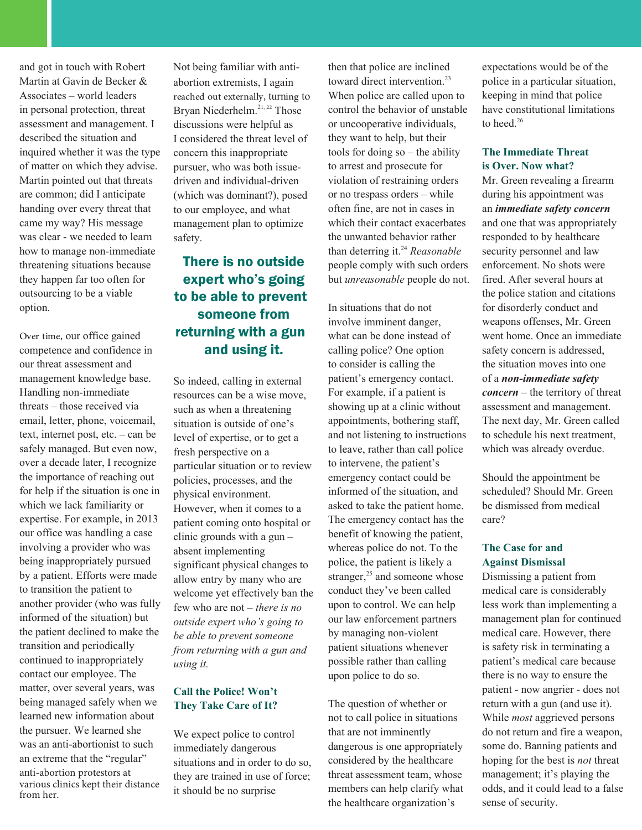and got in touch with Robert Martin at Gavin de Becker & Associates – world leaders in personal protection, threat assessment and management. I described the situation and inquired whether it was the type of matter on which they advise. Martin pointed out that threats are common; did I anticipate handing over every threat that came my way? His message was clear - we needed to learn how to manage non-immediate threatening situations because they happen far too often for outsourcing to be a viable option.

Over time, our office gained competence and confidence in our threat assessment and management knowledge base. Handling non-immediate threats – those received via email, letter, phone, voicemail, text, internet post, etc. – can be safely managed. But even now, over a decade later, I recognize the importance of reaching out for help if the situation is one in which we lack familiarity or expertise. For example, in 2013 our office was handling a case involving a provider who was being inappropriately pursued by a patient. Efforts were made to transition the patient to another provider (who was fully informed of the situation) but the patient declined to make the transition and periodically continued to inappropriately contact our employee. The matter, over several years, was being managed safely when we learned new information about the pursuer. We learned she was an anti-abortionist to such an extreme that the "regular" anti-abortion protestors at various clinics kept their distance from her.

Not being familiar with antiabortion extremists, I again reached out externally, turning to Bryan Niederhelm.<sup>21, 22</sup> Those discussions were helpful as I considered the threat level of concern this inappropriate pursuer, who was both issuedriven and individual-driven (which was dominant?), posed to our employee, and what management plan to optimize safety.

## There is no outside expert who's going to be able to prevent someone from returning with a gun and using it.

So indeed, calling in external resources can be a wise move, such as when a threatening situation is outside of one's level of expertise, or to get a fresh perspective on a particular situation or to review policies, processes, and the physical environment. However, when it comes to a patient coming onto hospital or clinic grounds with a gun – absent implementing significant physical changes to allow entry by many who are welcome yet effectively ban the few who are not – *there is no outside expert who's going to be able to prevent someone from returning with a gun and using it.* 

#### **Call the Police! Won't They Take Care of It?**

We expect police to control immediately dangerous situations and in order to do so, they are trained in use of force; it should be no surprise

then that police are inclined toward direct intervention.<sup>23</sup> When police are called upon to control the behavior of unstable or uncooperative individuals, they want to help, but their tools for doing so – the ability to arrest and prosecute for violation of restraining orders or no trespass orders – while often fine, are not in cases in which their contact exacerbates the unwanted behavior rather than deterring it.<sup>24</sup> *Reasonable* people comply with such orders but *unreasonable* people do not.

In situations that do not involve imminent danger, what can be done instead of calling police? One option to consider is calling the patient's emergency contact. For example, if a patient is showing up at a clinic without appointments, bothering staff, and not listening to instructions to leave, rather than call police to intervene, the patient's emergency contact could be informed of the situation, and asked to take the patient home. The emergency contact has the benefit of knowing the patient, whereas police do not. To the police, the patient is likely a stranger, $25$  and someone whose conduct they've been called upon to control. We can help our law enforcement partners by managing non-violent patient situations whenever possible rather than calling upon police to do so.

The question of whether or not to call police in situations that are not imminently dangerous is one appropriately considered by the healthcare threat assessment team, whose members can help clarify what the healthcare organization's

expectations would be of the police in a particular situation, keeping in mind that police have constitutional limitations to heed.<sup>26</sup>

#### **The Immediate Threat is Over. Now what?**

Mr. Green revealing a firearm during his appointment was an *immediate safety concern*  and one that was appropriately responded to by healthcare security personnel and law enforcement. No shots were fired. After several hours at the police station and citations for disorderly conduct and weapons offenses, Mr. Green went home. Once an immediate safety concern is addressed, the situation moves into one of a *non-immediate safety concern* – the territory of threat assessment and management. The next day, Mr. Green called to schedule his next treatment, which was already overdue.

Should the appointment be scheduled? Should Mr. Green be dismissed from medical care?

#### **The Case for and Against Dismissal**

Dismissing a patient from medical care is considerably less work than implementing a management plan for continued medical care. However, there is safety risk in terminating a patient's medical care because there is no way to ensure the patient - now angrier - does not return with a gun (and use it). While *most* aggrieved persons do not return and fire a weapon, some do. Banning patients and hoping for the best is *not* threat management; it's playing the odds, and it could lead to a false sense of security.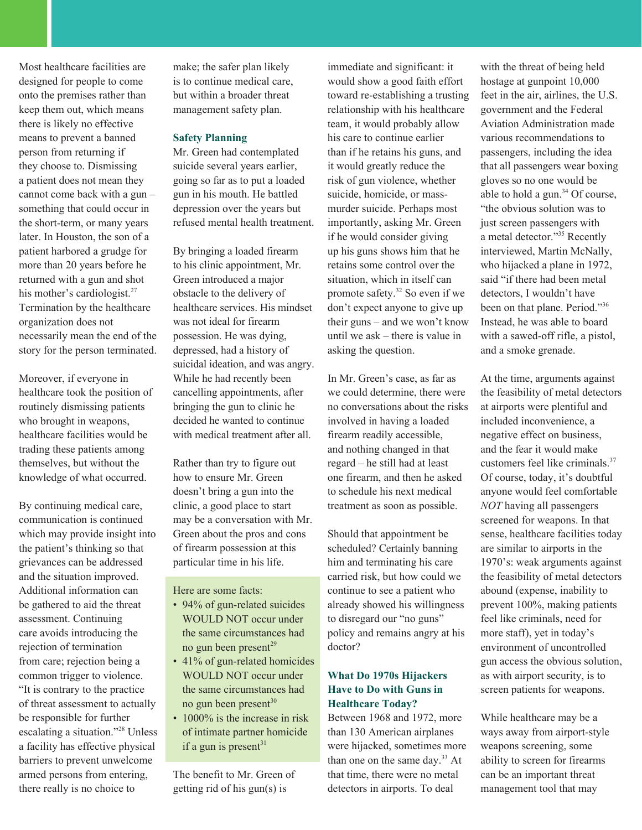Most healthcare facilities are designed for people to come onto the premises rather than keep them out, which means there is likely no effective means to prevent a banned person from returning if they choose to. Dismissing a patient does not mean they cannot come back with a gun – something that could occur in the short-term, or many years later. In Houston, the son of a patient harbored a grudge for more than 20 years before he returned with a gun and shot his mother's cardiologist.<sup>27</sup> Termination by the healthcare organization does not necessarily mean the end of the story for the person terminated.

Moreover, if everyone in healthcare took the position of routinely dismissing patients who brought in weapons, healthcare facilities would be trading these patients among themselves, but without the knowledge of what occurred.

By continuing medical care, communication is continued which may provide insight into the patient's thinking so that grievances can be addressed and the situation improved. Additional information can be gathered to aid the threat assessment. Continuing care avoids introducing the rejection of termination from care; rejection being a common trigger to violence. "It is contrary to the practice of threat assessment to actually be responsible for further escalating a situation."28 Unless a facility has effective physical barriers to prevent unwelcome armed persons from entering, there really is no choice to

make; the safer plan likely is to continue medical care, but within a broader threat management safety plan.

#### **Safety Planning**

Mr. Green had contemplated suicide several years earlier, going so far as to put a loaded gun in his mouth. He battled depression over the years but refused mental health treatment.

By bringing a loaded firearm to his clinic appointment, Mr. Green introduced a major obstacle to the delivery of healthcare services. His mindset was not ideal for firearm possession. He was dying, depressed, had a history of suicidal ideation, and was angry. While he had recently been cancelling appointments, after bringing the gun to clinic he decided he wanted to continue with medical treatment after all.

Rather than try to figure out how to ensure Mr. Green doesn't bring a gun into the clinic, a good place to start may be a conversation with Mr. Green about the pros and cons of firearm possession at this particular time in his life.

Here are some facts:

- 94% of gun-related suicides WOULD NOT occur under the same circumstances had no gun been present $^{29}$
- 41% of gun-related homicides WOULD NOT occur under the same circumstances had no gun been present<sup>30</sup>
- 1000% is the increase in risk of intimate partner homicide if a gun is present<sup>31</sup>

The benefit to Mr. Green of getting rid of his gun(s) is

immediate and significant: it would show a good faith effort toward re-establishing a trusting relationship with his healthcare team, it would probably allow his care to continue earlier than if he retains his guns, and it would greatly reduce the risk of gun violence, whether suicide, homicide, or massmurder suicide. Perhaps most importantly, asking Mr. Green if he would consider giving up his guns shows him that he retains some control over the situation, which in itself can promote safety.32 So even if we don't expect anyone to give up their guns – and we won't know until we ask – there is value in asking the question.

In Mr. Green's case, as far as we could determine, there were no conversations about the risks involved in having a loaded firearm readily accessible, and nothing changed in that regard – he still had at least one firearm, and then he asked to schedule his next medical treatment as soon as possible.

Should that appointment be scheduled? Certainly banning him and terminating his care carried risk, but how could we continue to see a patient who already showed his willingness to disregard our "no guns" policy and remains angry at his doctor?

#### **What Do 1970s Hijackers Have to Do with Guns in Healthcare Today?**

Between 1968 and 1972, more than 130 American airplanes were hijacked, sometimes more than one on the same day.<sup>33</sup> At that time, there were no metal detectors in airports. To deal

with the threat of being held hostage at gunpoint 10,000 feet in the air, airlines, the U.S. government and the Federal Aviation Administration made various recommendations to passengers, including the idea that all passengers wear boxing gloves so no one would be able to hold a gun.<sup>34</sup> Of course, "the obvious solution was to just screen passengers with a metal detector."35 Recently interviewed, Martin McNally, who hijacked a plane in 1972, said "if there had been metal detectors, I wouldn't have been on that plane. Period."<sup>36</sup> Instead, he was able to board with a sawed-off rifle, a pistol, and a smoke grenade.

At the time, arguments against the feasibility of metal detectors at airports were plentiful and included inconvenience, a negative effect on business, and the fear it would make customers feel like criminals.37 Of course, today, it's doubtful anyone would feel comfortable *NOT* having all passengers screened for weapons. In that sense, healthcare facilities today are similar to airports in the 1970's: weak arguments against the feasibility of metal detectors abound (expense, inability to prevent 100%, making patients feel like criminals, need for more staff), yet in today's environment of uncontrolled gun access the obvious solution, as with airport security, is to screen patients for weapons.

While healthcare may be a ways away from airport-style weapons screening, some ability to screen for firearms can be an important threat management tool that may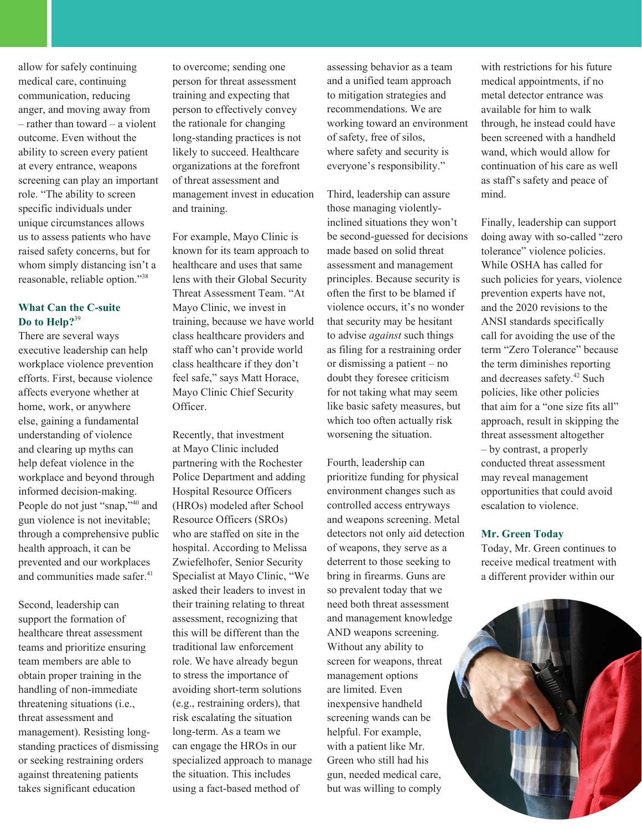allow for safely continuing medical care, continuing communication, reducing anger, and moving away from – rather than toward – a violent outcome. Even without the ability to screen every patient at every entrance, weapons screening can play an important role. "The ability to screen specific individuals under unique circumstances allows us to assess patients who have raised safety concerns, but for whom simply distancing isn't a reasonable, reliable option."38

#### **What Can the C-suite Do to Help?**<sup>39</sup>

There are several ways executive leadership can help workplace violence prevention efforts. First, because violence affects everyone whether at home, work, or anywhere else, gaining a fundamental understanding of violence and clearing up myths can help defeat violence in the workplace and beyond through informed decision-making. People do not just "snap,"<sup>40</sup> and gun violence is not inevitable; through a comprehensive public health approach, it can be prevented and our workplaces and communities made safer.<sup>41</sup>

Second, leadership can support the formation of healthcare threat assessment teams and prioritize ensuring team members are able to obtain proper training in the handling of non-immediate threatening situations (i.e., threat assessment and management). Resisting longstanding practices of dismissing or seeking restraining orders against threatening patients takes significant education

to overcome; sending one person for threat assessment training and expecting that person to effectively convey the rationale for changing long-standing practices is not likely to succeed. Healthcare organizations at the forefront of threat assessment and management invest in education and training.

For example, Mayo Clinic is known for its team approach to healthcare and uses that same lens with their Global Security Threat Assessment Team. "At Mayo Clinic, we invest in training, because we have world class healthcare providers and staff who can't provide world class healthcare if they don't feel safe," says Matt Horace, Mayo Clinic Chief Security Officer.

Recently, that investment at Mayo Clinic included partnering with the Rochester Police Department and adding Hospital Resource Officers (HROs) modeled after School Resource Officers (SROs) who are staffed on site in the hospital. According to Melissa Zwiefelhofer, Senior Security Specialist at Mayo Clinic, "We asked their leaders to invest in their training relating to threat assessment, recognizing that this will be different than the traditional law enforcement role. We have already begun to stress the importance of avoiding short-term solutions (e.g., restraining orders), that risk escalating the situation long-term. As a team we can engage the HROs in our specialized approach to manage the situation. This includes using a fact-based method of

assessing behavior as a team and a unified team approach to mitigation strategies and recommendations. We are working toward an environment of safety, free of silos, where safety and security is everyone's responsibility."

Third, leadership can assure those managing violentlyinclined situations they won't be second-guessed for decisions made based on solid threat assessment and management principles. Because security is often the first to be blamed if violence occurs, it's no wonder that security may be hesitant to advise *against* such things as filing for a restraining order or dismissing a patient – no doubt they foresee criticism for not taking what may seem like basic safety measures, but which too often actually risk worsening the situation.

Fourth, leadership can prioritize funding for physical environment changes such as controlled access entryways and weapons screening. Metal detectors not only aid detection of weapons, they serve as a deterrent to those seeking to bring in firearms. Guns are so prevalent today that we need both threat assessment and management knowledge AND weapons screening. Without any ability to screen for weapons, threat management options are limited. Even inexpensive handheld screening wands can be helpful. For example, with a patient like Mr. Green who still had his gun, needed medical care, but was willing to comply

with restrictions for his future medical appointments, if no metal detector entrance was available for him to walk through, he instead could have been screened with a handheld wand, which would allow for continuation of his care as well as staff's safety and peace of mind.

Finally, leadership can support doing away with so-called "zero tolerance" violence policies. While OSHA has called for such policies for years, violence prevention experts have not, and the 2020 revisions to the ANSI standards specifically call for avoiding the use of the term "Zero Tolerance" because the term diminishes reporting and decreases safety.42 Such policies, like other policies that aim for a "one size fits all" approach, result in skipping the threat assessment altogether – by contrast, a properly conducted threat assessment may reveal management opportunities that could avoid escalation to violence.

#### **Mr. Green Today**

Today, Mr. Green continues to receive medical treatment with a different provider within our